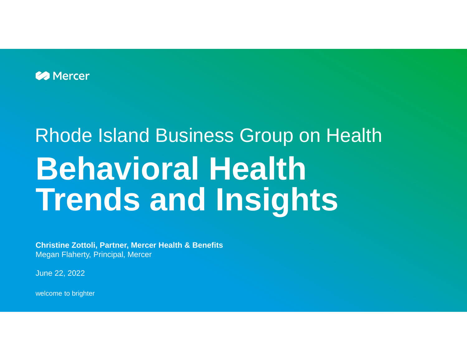

# Rhode Island Business Group on Health **Behavioral Health Trends and Insights**

**Christine Zottoli, Partner, Mercer Health & Benefits** Megan Flaherty, Principal, Mercer

June 22, 2022

welcome to brighter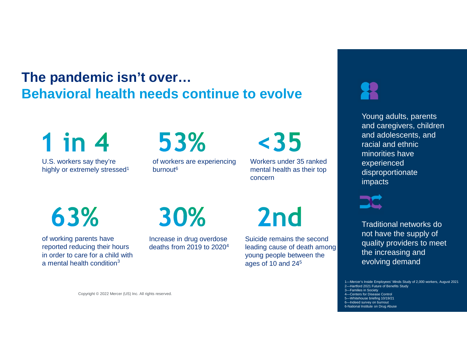# **The pandemic isn't over… Behavioral health needs continue to evolve**

 $1$  in  $4$ 

U.S. workers say they're highly or extremely stressed<sup>1</sup>

# 53%

of workers are experiencing burnout<sup>6</sup>

 $<sub>35</sub>$ </sub>

Workers under 35 ranked mental health as their top concern

63%

of working parents have reported reducing their hours in order to care for a child with a mental health condition<sup>3</sup>

Copyright © 2022 Mercer (US) Inc. All rights reserved.

30%

Increase in drug overdose deaths from 2019 to 2020<sup>4</sup> 2<sub>nd</sub>

Suicide remains the second leading cause of death among young people between the ages of 10 and 24<sup>5</sup>

Young adults, parents and caregivers, children and adolescents, and racial and ethnic minorities have experienced disproportionate impacts



Traditional networks do not have the supply of quality providers to meet the increasing and evolving demand

1—Mercer's Inside Employees' Minds Study of 2,000 workers, August 2021 2—Hartford 2021 Future of Benefits Study

- 3—Families in Society
- 4—Centers for Disease Control
- 5—Whitehouse briefing 10/19/21
- Indeed survey on burnout 6-National Institute on Drug Abuse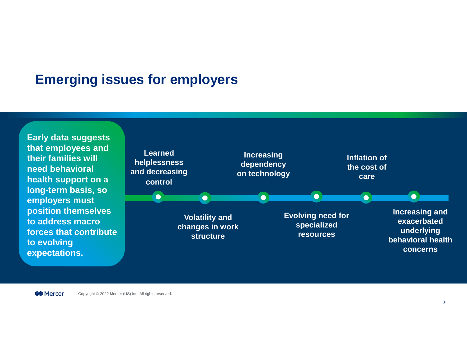### **Emerging issues for employers**

**Early data suggests that employees and their families will need behavioral health support on a long-term basis, so employers must position themselves to address macro forces that contribute to evolving expectations.**

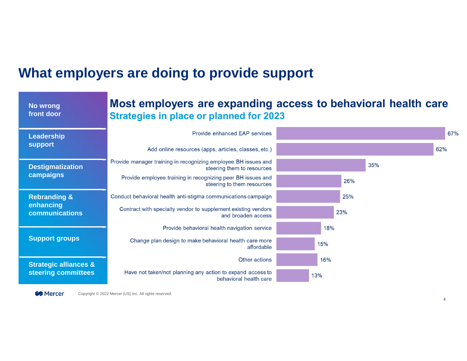## **What employers are doing to provide support**

| <b>No wrong</b><br>front door                                 | Most employers are expanding access to behavioral health care<br><b>Strategies in place or planned for 2023</b> |     |  |
|---------------------------------------------------------------|-----------------------------------------------------------------------------------------------------------------|-----|--|
| Leadership<br><b>support</b>                                  | Provide enhanced EAP services                                                                                   | 67% |  |
|                                                               | Add online resources (apps, articles, classes, etc.)                                                            | 62% |  |
| <b>Destigmatization</b><br>campaigns                          | Provide manager training in recognizing employee BH issues and<br>steering them to resources                    | 35% |  |
|                                                               | Provide employee training in recognizing peer BH issues and<br>steering to them resources                       | 26% |  |
| <b>Rebranding &amp;</b><br>enhancing<br><b>communications</b> | Conduct behavioral health anti-stigma communications campaign                                                   | 25% |  |
|                                                               | Contract with specialty vendor to supplement existing vendors<br>and broaden access                             | 23% |  |
| <b>Support groups</b>                                         | Provide behavioral health navigation service                                                                    | 18% |  |
|                                                               | Change plan design to make behavioral health care more<br>affordable                                            | 15% |  |
| <b>Strategic alliances &amp;</b><br>steering committees       | Other actions                                                                                                   | 16% |  |
|                                                               | Have not taken/not planning any action to expand access to<br>behavioral health care                            | 13% |  |

Mercer Copyright © 2022 Mercer (US) Inc. All rights reserved.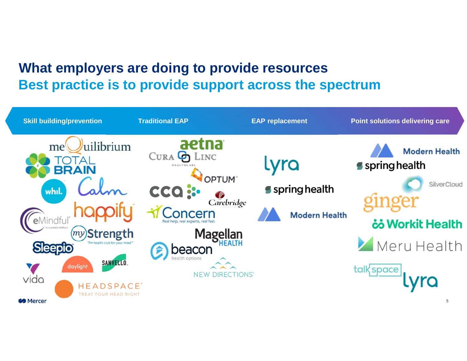# **What employers are doing to provide resources Best practice is to provide support across the spectrum**

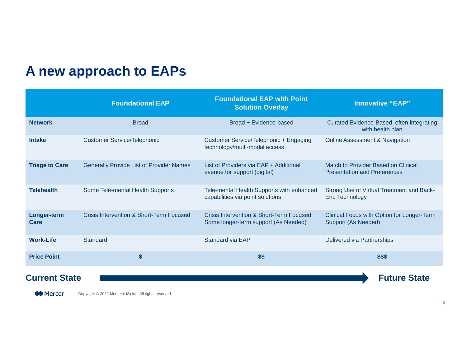## **A new approach to EAPs**

|                       | <b>Foundational EAP</b>                         | <b>Foundational EAP with Point</b><br><b>Solution Overlay</b>                    | <b>Innovative "EAP"</b>                                                    |
|-----------------------|-------------------------------------------------|----------------------------------------------------------------------------------|----------------------------------------------------------------------------|
| <b>Network</b>        | <b>Broad</b>                                    | Broad + Evidence-based                                                           | Curated Evidence-Based, often integrating<br>with health plan              |
| <b>Intake</b>         | <b>Customer Service/Telephonic</b>              | Customer Service/Telephonic + Engaging<br>technology/multi-modal access          | <b>Online Assessment &amp; Navigation</b>                                  |
| <b>Triage to Care</b> | <b>Generally Provide List of Provider Names</b> | List of Providers via EAP + Additional<br>avenue for support (digital)           | Match to Provider Based on Clinical<br><b>Presentation and Preferences</b> |
| <b>Telehealth</b>     | Some Tele-mental Health Supports                | Tele-mental Health Supports with enhanced<br>capabilities via point solutions    | Strong Use of Virtual Treatment and Back-<br><b>End Technology</b>         |
| Longer-term<br>Care   | Crisis Intervention & Short-Term Focused        | Crisis Intervention & Short-Term Focused<br>Some longer-term support (As Needed) | Clinical Focus with Option for Longer-Term<br>Support (As Needed)          |
| <b>Work-Life</b>      | Standard                                        | Standard via EAP                                                                 | Delivered via Partnerships                                                 |
| <b>Price Point</b>    | \$                                              | \$\$                                                                             | \$\$\$                                                                     |
| <b>Current State</b>  |                                                 |                                                                                  | <b>Future State</b>                                                        |

**Mercer** Copyright © 2022 Mercer (US) Inc. All rights reserved.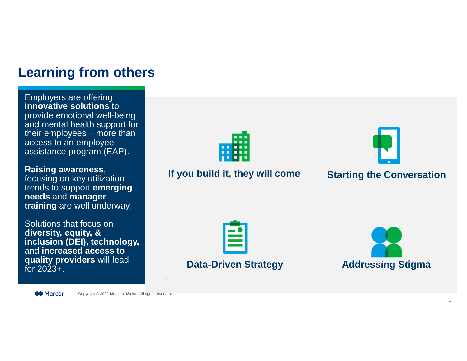#### **Learning from others**

Employers are offering **innovative solutions** to provide emotional well-being and mental health support for their employees – more than access to an employee assistance program (EAP).

#### **Raising awareness**,

focusing on key utilization trends to support **emerging needs** and **manager training** are well underway.

Solutions that focus on **diversity, equity, & inclusion (DEI), technology,** and **increased access to quality providers** will lead for  $2023 +$ .



#### **If you build it, they will come Starting the Conversation**



#### **Data-Driven Strategy**



**B** Mercer

Copyright © 2022 Mercer (US) Inc. All rights reserved.

.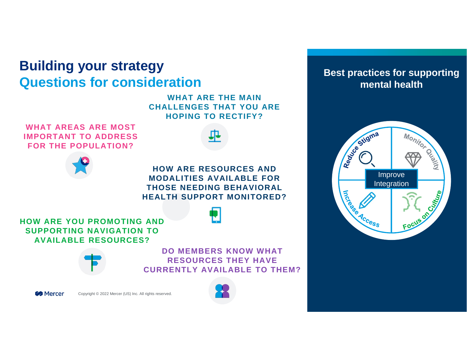#### **Building your strategy Questions for consideration**

**WHAT ARE THE MAIN CHALLENGES THAT YOU ARE HOPING TO RECTIFY?**

**WHAT AREAS ARE MOST IMPORTANT TO ADDRESS FOR THE POPULATION?**



**HOW ARE RESOURCES AND MODALITIES AVAILABLE FOR THOSE NEEDING BEHAVIORAL HEALTH SUPPORT MONITORED?**

**HOW ARE YOU PROMOTING AND SUPPORTING NAVIGATION TO AVAILABLE RESOURCES?**



**DO MEMBERS KNOW WHAT RESOURCES THEY HAVE CURRENTLY AVAILABLE TO THEM?**



Copyright © 2022 Mercer (US) Inc. All rights reserved.



#### **Best practices for supporting mental health**